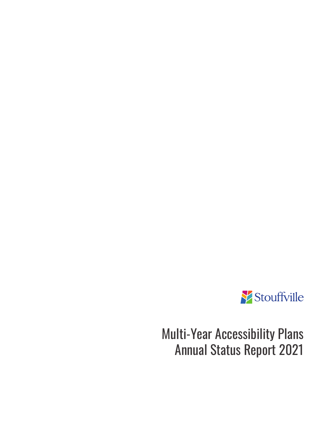

Multi-Year Accessibility Plans Annual Status Report 2021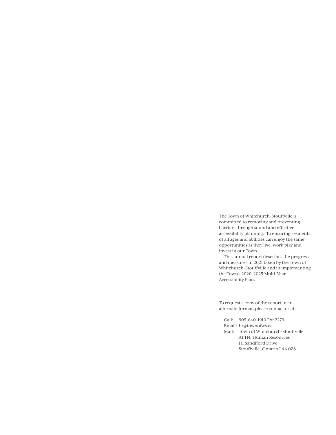The Town of Whitchurch-Stouffville is committed to removing and preventing barriers through sound and effective accessibility planning. To ensuring residents of all ages and abilities can enjoy the same opportunities as they live, work play and invest in our Town.

This annual report describes the progress and measures in 2021 taken by the Town of Whitchurch-Stouffville and in implementing the Town's 2020-2025 Multi-Year Accessibility Plan.

To request a copy of the report in an alternate format, please contact us at:

Call: 905-640-1910 Ext 2279 Email: hr@townofws.ca Mail: Town of Whitchurch-Stouffville ATTN: Human Resources 111 Sandiford Drive Stouffville, Ontario L4A 0Z8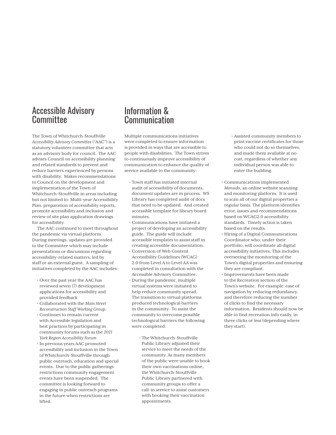#### Accessible Advisory **Committee**

The Town of Whitchurch-Stouffville *Accessibility Advisory Committee* ("AAC") is a statutory volunteer committee that acts as an advisory body for council. The AAC advises Council on accessibility planning and related standards to prevent and reduce barriers experienced by persons with disability. Makes recommendations to Council on the development and implementation of the Town of Whitchurch-Stouffville in areas including but not limited to: Multi-year Accessibility Plan, preparation of accessibility reports, promote accessibility and inclusion and review of site plan application drawings for accessibility.

The AAC continued to meet throughout the pandemic via virtual platform. During meetings, updates are provided to the Committee which may include presentations or discussions regarding accessibility-related matters, led by staff or an external guest. A sampling of initiatives completed by the AAC includes:

- Over the past year the AAC has reviewed seven (7) development applications for accessibility and provided feedback
- Collaborated with the *Main Street Reconstruction Staff Working Group*.
- Continues to remain current with Accessible legislation and best practices by participating in community forums such as the *2021 York Region Accessibility Forum*
- In previous years AAC promoted accessibility and inclusion in the Town of Whitchurch-Stouffville through public outreach, education and special events. Due to the public gatherings restrictions community engagement events have been suspended. The committee is looking forward to engaging in public outreach programs in the future when restrictions are lifted.

#### Information & Communication

Multiple communications initiatives were completed to ensure information is provided in ways that are accessible to people with disabilities. The Town strives to continuously improve accessibility of communication to enhance the quality of service available to the community:

- Town staff has initiated internal audit of accessibility of documents, document updates are in process. WS Library has completed audit of docs that need to be updated. And created accessible template for library board minutes.
- Communications have initiated a project of developing an accessibility guide. The guide will include accessible templates to assist staff in creating accessible documentation.
- Conversion of Web Content Accessibility Guidelines (WCAG) 2.0 from Level A to Level AA was completed in consultation with the Accessible Advisory Committee.
- During the pandemic, multiple virtual systems were initiated to help reduce community spread. The transition to virtual platforms produced technological barriers in the community. To assist the community to overcome possible technological barriers the following were completed:
	- The Whitchurch-Stouffville Public Library adjusted their service to meet the needs of the community. As many members of the public were unable to book their own vaccinations online, the Whitchurch-Stouffville Public Library partnered with community groups to offer a call-in service to assist customers with booking their vaccination appointments
- Assisted community members to print vaccine certificates for those who could not do so themselves, and made them available at no cost, regardless of whether any individual person was able to enter the building.
- Communications implemented *Monsido*, an online website scanning and monitoring platform. It is used to scan all of our digital properties a regular basis. The platform identifies error, issues and recommendations based on WCAG2.0 accessibility standards. Timely action is taken based on the results.
- Hiring of a Digital Communications Coordinator who, under their portfolio, will coordinate all digital accessibility initiatives. This includes overseeing the monitoring of the Town's digital properties and ensuring they are compliant.
- Improvements have been made to the Recreation section of the Town's website. For example: ease of navigation by reducing redundancy, and therefore reducing the number of clicks to find the necessary information. Residents should now be able to find recreation info easily, in three clicks or less (depending where they start).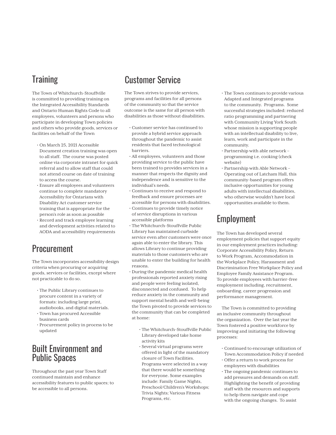# **Training**

The Town of Whitchurch-Stouffville is committed to providing training on the Integrated Accessibility Standards and Ontario Human Rights Code to all employees, volunteers and persons who participate in developing Town policies and others who provide goods, services or facilities on behalf of the Town

- On March 25, 2021 Accessible Document creation training was open to all staff. The course was posted online via corporate intranet for quick referral and to allow staff that could not attend course on date of training to access the course.
- Ensure all employees and volunteers continue to complete mandatory Accessibility for Ontarians with Disability Act customer service training that is appropriate for the person's role as soon as possible
- Record and track employee learning and development activities related to AODA and accessibility requirements

## Procurement

The Town incorporates accessibility design criteria when procuring or acquiring goods, services or facilities, except where not practicable to do so.

- The Public Library continues to procure content in a variety of formats: including large print, audiobooks, and digital materials.
- Town has procured Accessible business cards
- Procurement policy in process to be updated

### Built Environment and Public Spaces

Throughout the past year Town Staff continued maintain and enhance accessibility features to public spaces; to be accessible to all persons.

# Customer Service

The Town strives to provide services, programs and facilities for all persons of the community so that the service outcome is the same for all person with disabilities as those without disabilities.

- Customer service has continued to provide a hybrid service approach throughout the pandemic to assist residents that faced technological barriers.
- All employees, volunteers and those providing service to the public have been trained to provides services in a manner that respects the dignity and independence and is sensitive to the individual's needs.
- Continues to receive and respond to feedback and ensure processes are accessible for persons with disabilities.
- Continues to provide timely notice of service disruptions in various accessible platforms
- The Whitchurch-Stouffville Public Library has maintained curbside service even after customers were once again able to enter the library. This allows Library to continue providing materials to those customers who are unable to enter the building for health reasons.
- During the pandemic medical health professionals reported anxiety rising and people were feeling isolated, disconnected and confused. To help reduce anxiety in the community and support mental health and well-being the Town pivoted to provide services to the community that can be completed at home:
	- The Whitchurch-Stouffville Public Library developed take home activity kits
	- Several virtual programs were offered in light of the mandatory closure of Town Facilities. Programs were selected in a way that there would be something for everyone. Some examples include: Family Game Nights, Preschool/Children's Workshops; Trivia Nights; Various Fitness Programs, etc.
- The Town continues to provide various Adapted and Integrated programs to the community. Programs. Some successful strategies included: reduced ratio programming and partnering with Community Living York South whose mission is supporting people with an intellectual disability to live, learn, work and participate in the community.
- Partnership with able network programming i.e. cooking (check website)
- Partnership with Able Network Operating out of Latcham Hall, this community-based program offers inclusive opportunities for young adults with intellectual disabilities, who otherwise wouldn't have local opportunities available to them.

# Employment

The Town has developed several employment policies that support equity in our employment practices including: Corporate Accessibility Policy, Return to Work Program, Accommodation in the Workplace Policy, Harassment and Discrimination Free Workplace Policy and Employee Family Assistance Program. To provide employees with barrier-free employment including, recruitment, onboarding, career progression and performance management.

The Town is committed to providing an inclusive community throughout the organization. Over the last year the Town fostered a positive workforce by improving and initiating the following processes:

- Continued to encourage utilization of Town Accommodation Policy if needed
- Offer a return to work process for employees with disabilities
- The ongoing pandemic continues to add pressures and demands on staff. Highlighting the benefit of providing staff with the resources and supports to help them navigate and cope with the ongoing changes. To assist